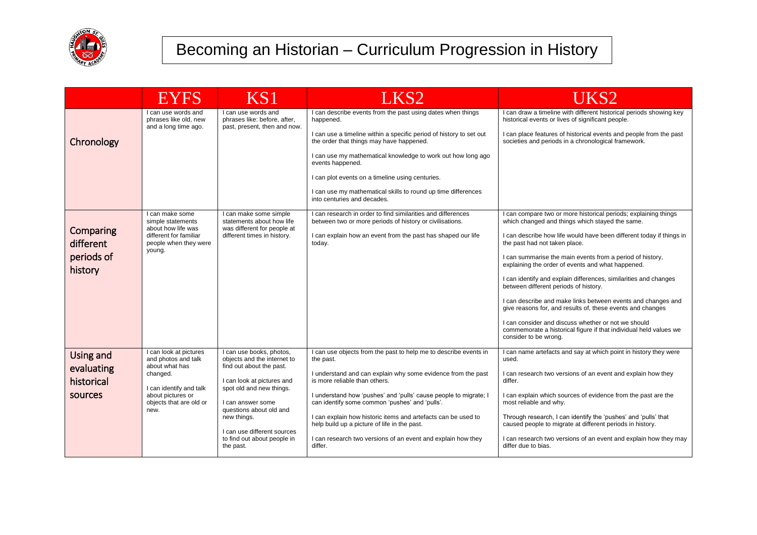

|                                                  | EYES                                                                                                                                                           | KS1                                                                                                                                                                                                                                                                                     | LKS <sub>2</sub>                                                                                                                                                                                                                                                                                                                                                                                                                                                                                 | UKS2                                                                                                                                                                                                                                                                                                                                                                                                                                                                                                                                                                                                                                                                                                                                          |
|--------------------------------------------------|----------------------------------------------------------------------------------------------------------------------------------------------------------------|-----------------------------------------------------------------------------------------------------------------------------------------------------------------------------------------------------------------------------------------------------------------------------------------|--------------------------------------------------------------------------------------------------------------------------------------------------------------------------------------------------------------------------------------------------------------------------------------------------------------------------------------------------------------------------------------------------------------------------------------------------------------------------------------------------|-----------------------------------------------------------------------------------------------------------------------------------------------------------------------------------------------------------------------------------------------------------------------------------------------------------------------------------------------------------------------------------------------------------------------------------------------------------------------------------------------------------------------------------------------------------------------------------------------------------------------------------------------------------------------------------------------------------------------------------------------|
| Chronology                                       | I can use words and<br>phrases like old, new<br>and a long time ago.                                                                                           | I can use words and<br>phrases like: before, after,<br>past, present, then and now.                                                                                                                                                                                                     | I can describe events from the past using dates when things<br>happened.<br>I can use a timeline within a specific period of history to set out<br>the order that things may have happened.<br>I can use my mathematical knowledge to work out how long ago<br>events happened.<br>I can plot events on a timeline using centuries.<br>I can use my mathematical skills to round up time differences<br>into centuries and decades.                                                              | I can draw a timeline with different historical periods showing key<br>historical events or lives of significant people.<br>I can place features of historical events and people from the past<br>societies and periods in a chronological framework.                                                                                                                                                                                                                                                                                                                                                                                                                                                                                         |
| Comparing<br>different<br>periods of<br>history  | I can make some<br>simple statements<br>about how life was<br>different for familiar<br>people when they were<br>young.                                        | I can make some simple<br>statements about how life<br>was different for people at<br>different times in history.                                                                                                                                                                       | I can research in order to find similarities and differences<br>between two or more periods of history or civilisations.<br>I can explain how an event from the past has shaped our life<br>today.                                                                                                                                                                                                                                                                                               | I can compare two or more historical periods; explaining things<br>which changed and things which stayed the same.<br>I can describe how life would have been different today if things in<br>the past had not taken place.<br>I can summarise the main events from a period of history,<br>explaining the order of events and what happened.<br>I can identify and explain differences, similarities and changes<br>between different periods of history.<br>I can describe and make links between events and changes and<br>give reasons for, and results of, these events and changes<br>I can consider and discuss whether or not we should<br>commemorate a historical figure if that individual held values we<br>consider to be wrong. |
| Using and<br>evaluating<br>historical<br>sources | I can look at pictures<br>and photos and talk<br>about what has<br>changed.<br>I can identify and talk<br>about pictures or<br>objects that are old or<br>new. | I can use books, photos,<br>objects and the internet to<br>find out about the past.<br>I can look at pictures and<br>spot old and new things.<br>I can answer some<br>questions about old and<br>new things.<br>I can use different sources<br>to find out about people in<br>the past. | I can use objects from the past to help me to describe events in<br>the past.<br>I understand and can explain why some evidence from the past<br>is more reliable than others.<br>I understand how 'pushes' and 'pulls' cause people to migrate; I<br>can identify some common 'pushes' and 'pulls'.<br>I can explain how historic items and artefacts can be used to<br>help build up a picture of life in the past.<br>I can research two versions of an event and explain how they<br>differ. | I can name artefacts and say at which point in history they were<br>used.<br>I can research two versions of an event and explain how they<br>differ.<br>I can explain which sources of evidence from the past are the<br>most reliable and why.<br>Through research, I can identify the 'pushes' and 'pulls' that<br>caused people to migrate at different periods in history.<br>I can research two versions of an event and explain how they may<br>differ due to bias.                                                                                                                                                                                                                                                                     |